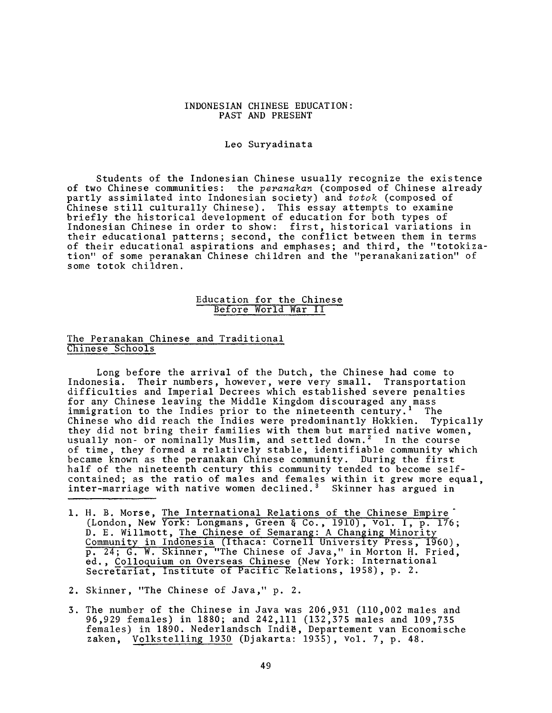#### INDONESIAN CHINESE EDUCATION: PAST AND PRESENT

#### Leo Suryadinata

Students of the Indonesian Chinese usually recognize the existence of two Chinese communities: the *peranakan* (composed of Chinese already partly assimilated into Indonesian society) and *totok* (composed of Chinese still culturally Chinese). This essay attempts to examine briefly the historical development of education for both types of Indonesian Chinese in order to show: first, historical variations in their educational patterns; second, the conflict between them in terms of their educational aspirations and emphases; and third, the "totokization" of some peranakan Chinese children and the "peranakanization" of some totok children.

#### Education for the Chinese Before World War II

## The Peranakan Chinese and Traditional Chinese Schools '

Long before the arrival of the Dutch, the Chinese had come to Indonesia. Their numbers, however, were very small. Transportation difficulties and Imperial Decrees which established severe penalties for any Chinese leaving the Middle Kingdom discouraged any mass immigration to the Indies prior to the nineteenth century.<sup>1</sup> The Chinese who did reach the Indies were predominantly Hokkien. Typically they did not bring their families with them but married native women, usually non- or nominally Muslim, and settled down.<sup>2</sup> In the course of time, they formed a relatively stable, identifiable community which became known as the peranakan Chinese community. During the first half of the nineteenth century this community tended to become selfcontained; as the ratio of males and females within it grew more equal, inter-marriage with native women declined.<sup>3</sup> Skinner has argued in

- 1. H. B. Morse, The International Relations of the Chinese Empire (London, New York: Longmans, Green § Co., 1910), Vol. I , p. 176; D. E. Willmott, The Chinese of Semarang: A Changing Minority Community in Indonesia (Ithaca: Cornell University Press, i960) , p. 24; G. W. Skinner, "The Chinese of Java," in Morton H. Fried, ed., Colloquium on Overseas Chinese (New York: International Secretariat, Institute of Pacific Relations, 1958), p. 2.
- 2. Skinner, "The Chinese of Java," p. 2.
- 3. The number of the Chinese in Java was 206,931 (110,002 males and 96,929 females) in 1880; and 242,111 (132,375 males and 109,735 females) in 1890. Nederlandsch Indig, Departement van Economische zaken, Volkstelling 1930 (Djakarta: 1935), vol. 7, p. 48.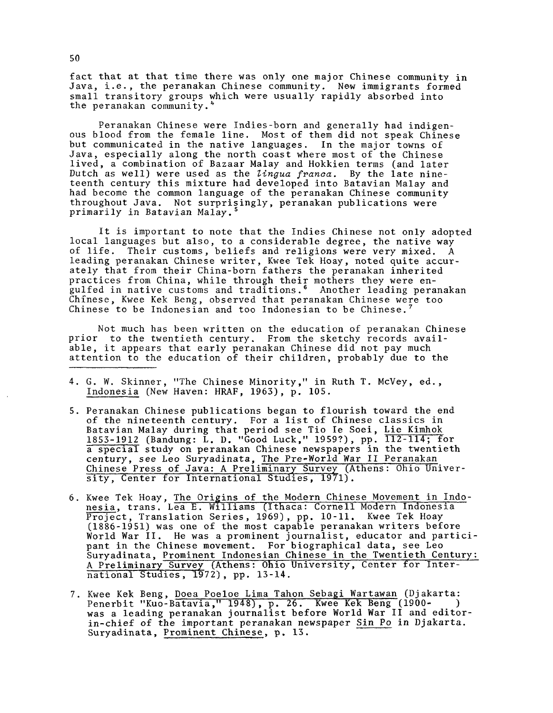fact that at that time there was only one major Chinese community in Java, i.e., the peranakan Chinese community. New immigrants formed small transitory groups which were usually rapidly absorbed into the peranakan community.'

Peranakan Chinese were Indies-born and generally had indigenous blood from the female line. Most of them did not speak Chinese but communicated in the native languages. In the major towns of Java, especially along the north coast where most of the Chinese lived, a combination of Bazaar Malay and Hokkien terms (and later Dutch as well) were used as the *lingua franea.* By the late nineteenth century this mixture had developed into Batavian Malay and had become the common language of the peranakan Chinese community throughout Java. Not surprisingly, peranakan publications were primarily in Batavian Malay.<sup>4</sup>

It is important to note that the Indies Chinese not only adopted local languages but also, to a considerable degree, the native way of life. Their customs, beliefs and religions were very mixed. A leading peranakan Chinese writer, Kwee Tek Hoay, noted quite accurately that from their China-born fathers the peranakan inherited practices from China, while through their mothers they were engulfed in native customs and traditions.6 Another leading peranakan Chinese, Kwee Kek Beng, observed that peranakan Chinese were too Chinese to be Indonesian and too Indonesian to be Chinese.

Not much has been written on the education of peranakan Chinese prior to the twentieth century. From the sketchy records available, it appears that early peranakan Chinese did not pay much attention to the education of their children, probably due to the

- 4. G. W. Skinner, "The Chinese Minority," in Ruth T. McVey, ed., Indonesia (New Haven: HRAF, 1963), p. 105.
- 5. Peranakan Chinese publications began to flourish toward the end of the nineteenth century. For a list of Chinese classics in Batavian Malay during that period see Tio Ie Soei, Lie Kimhok 1853-1912 (Bandung: L. D. "Good Luck," 1959?), pp. 112-114; for a special study on peranakan Chinese newspapers in the twentieth century, see Leo Suryadinata, The Pre-World War II Peranakan Chinese Press of Java: A Preliminary Survey (Athens: Ohio University, Center for International Studies, 19/1).
- 6. Kwee Tek Hoay, The Origins of the Modern Chinese Movement in Indonesia, trans. Lea E. Williams (Ithaca: Cornell Modern Indonesia Project, Translation Series, 1969), pp. 10-11. Kwee Tek Hoay (1886-1951) was one of the most capable peranakan writers before World War II. He was a prominent journalist, educator and participant in the Chinese movement. For biographical data, see Leo Suryadinata, Prominent Indonesian Chinese in the Twentieth Century: A Preliminary" Survey (Athens: Ohio University, Center for International Studies , 19\*72) , pp. 13-14.
- 7. Kwee Kek Beng, Doea Poeloe Lima Tahon Sebagi Wartawan (Djakarta: Penerbit "Kuo-Batavia," 1948), p. 26. Kwee Kek Beng (1900- ) was a leading peranakan journalist before World War II and editorin-chief of the important peranakan newspaper Sin Po in Djakarta. Suryadinata, Prominent Chinese, p. 13.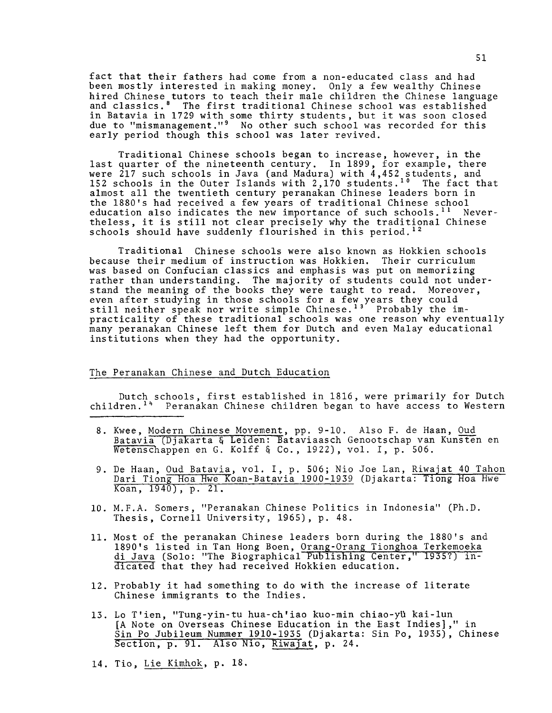fact that their fathers had come from a non-educated class and had been mostly interested in making money. Only a few wealthy Chinese hired Chinese tutors to teach their male children the Chinese language and classics.8 The first traditional Chinese school was established in Batavia in 1729 with some thirty students, but it was soon closed due to "mismanagement."<sup>9</sup> No other such school was recorded for this early period though this school was later revived.

Traditional Chinese schools began to increase, however, in the last quarter of the nineteenth century. In 1899, for example, there were 217 such schools in Java (and Madura) with 4,452 students, and 152 schools in the Outer Islands with 2,170 students.<sup>10</sup> The fact that almost all the twentieth century peranakan Chinese leaders born in the 1880's had received a few years of traditional Chinese school education also indicates the new importance of such schools.<sup>11</sup> Nevertheless, it is still not clear precisely why the traditional Chinese schools should have suddenly flourished in this period.<sup>12</sup>

Traditional Chinese schools were also known as Hokkien schools because their medium of instruction was Hokkien. Their curriculum was based on Confucian classics and emphasis was put on memorizing rather than understanding. The majority of students could not understand the meaning of the books they were taught to read. Moreover, even after studying in those schools for a few years they could still neither speak nor write simple Chinese.<sup>13</sup> Probably the impracticality of these traditional schools was one reason why eventually many peranakan Chinese left them for Dutch and even Malay educational institutions when they had the opportunity.

## The Peranakan Chinese and Dutch Education

Dutch schools, first established in 1816, were primarily for Dutch children.<sup>14</sup> Peranakan Chinese children began to have access to Western

- 8. Kwee, Modern Chinese Movement, pp. 9-10. Also F. de Haan, Oud Batavia (Djakarta § Leiden: Bataviaasch Genootschap van Kunsten en Wetenschappen en G. Kolff & Co., 1922), vol. I, p. 506.
- 9. De Haan, Oud Batavia, vol. I, p. 506; Nio Joe Lan, Riwajat 40 Tahon Dari Tiong Hoa Hwe Koan-Batavia 1900-1939 (Djakarta: Tiong Hoa Hwe Koan, 1940) , p. 21.
- 10. M.F.A. Somers, "Peranakan Chinese Politics in Indonesia" (Ph.D. Thesis, Cornell University, 1965), p. 48.
- 11. Most of the peranakan Chinese leaders born during the 1880's and 1890's listed in Tan Hong Boen, Orang-Orang Tionghoa Terkemoeka di Java (Solo: "The Biographical Publishing Center," 1935?) indicated that they had received Hokkien education.
- 12. Probably it had something to do with the increase of literate Chinese immigrants to the Indies.
- 13. Lo T'ien, "Tung-yin-tu hua-ch'iao kuo-min chiao-ytl kai-lun [A Note on Overseas Chinese Education in the East Indies]," in Sin Po Jubileum Nummer 1910-1935 (Djakarta: Sin Po, 1935), Chinese Section, p. 91. Also Nio, Riwajat, p. 24.
- 14. Tio, Lie Kimhok, p. 18.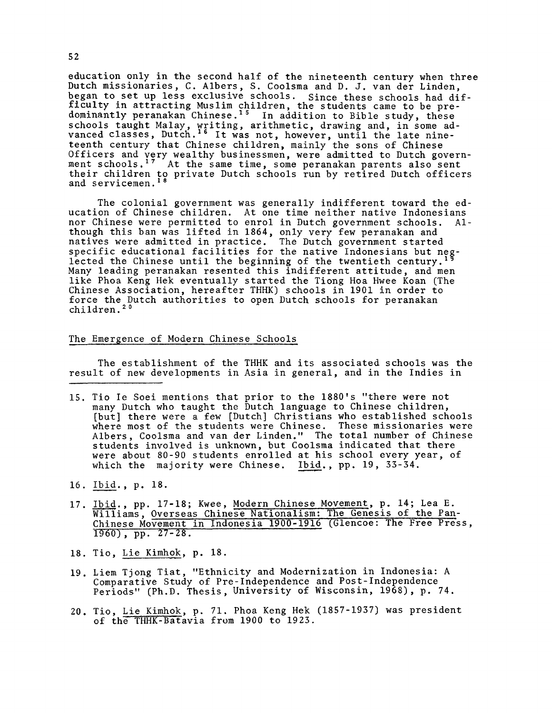education only in the second half of the nineteenth century when three Dutch missionaries, C. Albers, S. Coolsma and D. J. van der Linden, began to set up less exclusive schools. Since these schools had difficulty in attracting Muslim children, the students came to be predominantly peranakan Chinese.15 In addition to Bible study, these schools taught Malay, writing, arithmetic, drawing and, in some advanced classes, Dutch.16 It was not, however, until the late nineteenth century that Chinese children, mainly the sons of Chinese Officers and very wealthy businessmen, were admitted to Dutch government schools.<sup>17</sup> At the same time, some peranakan parents also sent their children to private Dutch schools run by retired Dutch officers and servicemen.<sup>18</sup>

The colonial government was generally indifferent toward the education of Chinese children. At one time neither native Indonesians nor Chinese were permitted to enrol in Dutch government schools. Although this ban was lifted in 1864, only very few peranakan and natives were admitted in practice. The Dutch government started specific educational facilities for the native Indonesians but neglected the Chinese until the beginning of the twentieth century. $^{1\,9}$ Many leading peranakan resented this indifferent attitude, and men like Phoa Keng Hek eventually started the Tiong Hoa Hwee Koan (The Chinese Association, hereafter THHK) schools in 1901 in order to force the Dutch authorities to open Dutch schools for peranakan children.<sup>20</sup>

# The Emergence of Modern Chinese Schools

The establishment of the THHK and its associated schools was the result of new developments in Asia in general, and in the Indies in

- 15. Tio Ie Soei mentions that prior to the 1880's "there were not many Dutch who taught the Dutch language to Chinese children, [but] there were a few [Dutch] Christians who established schools where most of the students were Chinese. These missionaries were Albers, Coolsma and van der Linden." The total number of Chinese students involved is unknown, but Coolsma indicated that there were about 80-90 students enrolled at his school every year, of which the majority were Chinese. Ibid., pp. 19, 33-34.
- 16. Ibid., p. 18.
- 17. Ibid., pp. 17-18; Kwee, Modern Chinese Movement, p. 14; Lea E. Williams, Overseas Chinese Nationalism: The Genesis of the Pan-Chinese Movement in Indonesia 1900-1916 (Glencoe: The Free Press, 1960) , pp. 27-28.
- 18. Tio, Lie Kimhok, p. 18.
- 19. Liem Tjong Tiat, "Ethnicity and Modernization in Indonesia: A Comparative Study of Pre-Independence and Post-Independence Periods" (Ph.D. Thesis, University of Wisconsin, 1968), p. 74.
- 20. Tio, Lie Kimhok, p. 71. Phoa Keng Hek (1857-1937) was president of the THHK-Batavia from 1900 to 1923.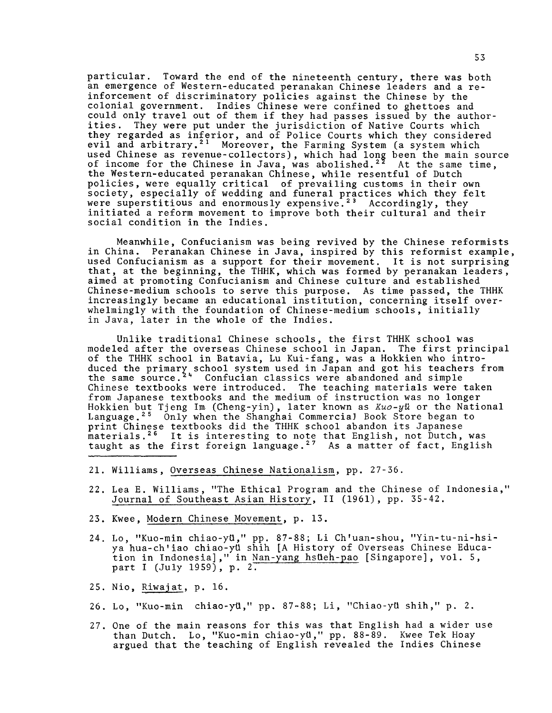particular. Toward the end of the nineteenth century, there was both an emergence of Western-educated peranakan Chinese leaders and a reinforcement of discriminatory policies against the Chinese by the colonial government. Indies Chinese were confined to ghettoes and could only travel out of them if they had passes issued by the authorities. They were put under the jurisdiction of Native Courts which they regarded as inferior, and of Police Courts which they considered evil and arbitrary.<sup>21</sup> Moreover, the Farming System (a system which used Chinese as revenue-collectors), which had long been the main source of income for the Chinese in Java, was abolished. $^{2\,2}$  At the same time, the Western-educated peranakan Chinese, while resentful of Dutch policies, were equally critical of prevailing customs in their own society, especially of wedding and funeral practices which they felt were superstitious and enormously expensive. $^{\text{23}}$  Accordingly, they initiated a reform movement to improve both their cultural and their social condition in the Indies.

Meanwhile, Confucianism was being revived by the Chinese reformists in China. Peranakan Chinese in Java, inspired by this reformist example, used Confucianism as a support for their movement. It is not surprising that, at the beginning, the THHK, which was formed by peranakan leaders, aimed at promoting Confucianism and Chinese culture and established Chinese-medium schools to serve this purpose. As time passed, the THHK increasingly became an educational institution, concerning itself overwhelmingly with the foundation of Chinese-medium schools, initially in Java, later in the whole of the Indies.

Unlike traditional Chinese schools, the first THHK school was modeled after the overseas Chinese school in Japan. The first principal of the THHK school in Batavia, Lu Kui-fang, was a Hokkien who introduced the primary school system used in Japan and got his teachers from the same source.<sup>24</sup> Confucian classics were abandoned and simple Chinese textbooks were introduced. The teaching materials were taken from Japanese textbooks and the medium of instruction was no longer Hokkien but Tjeng Im (Cheng-yin) , later known as *Kuo-yli.* or the National Language.25 Only when the Shanghai Commercial Book Store began to print Chinese textbooks did the THHK school abandon its Japanese materials.26 It is interesting to note that English, not Dutch, was taught as the first foreign language. $^{\mathrm{27}}$  As a matter of fact, English

- 21. Williams, Overseas Chinese Nationalism, pp. 27-36.
- 22. Lea E. Williams, "The Ethical Program and the Chinese of Indonesia," Journal of Southeast Asian History, II (1961), pp. 35-42.
- 23. Kwee, Modern Chinese Movement, p. 13.
- 24. Lo, "Kuo-min chiao-yti," pp. 87-88; Li Ch'uan-shou, "Yin-tu-ni-hsiya hua-ch'iao chiao-yti shih (A History of Overseas Chinese Education in Indonesia]," in Nan-yang hstieh-pao [Singapore], vol. 5, part I (July 1959), p. 2.
- 25. Nio, Riwajat, p. 16.
- 26. Lo, "Kuo-min chiao-yü," pp. 87-88; Li, "Chiao-yü shih," p. 2.
- 27. One of the main reasons for this was that English had a wider use than Dutch. Lo, "Kuo-min chiao-yü," pp. 88-89. Kwee Tek Hoay argued that the teaching of English revealed the Indies Chinese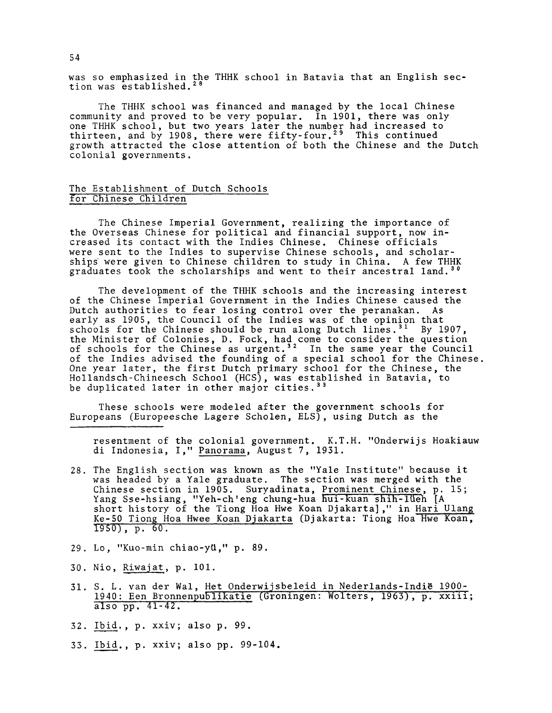was so emphasized in the THHK school in Batavia that an English section was established.<sup>28</sup>

The THHK school was financed and managed by the local Chinese community and proved to be very popular. In 1901, there was only one THHK school, but two years later the number had increased to thirteen, and by 1908, there were fifty-four.<sup>29</sup> This continued growth attracted the close attention of both the Chinese and the Dutch colonial governments.

## The Establishment of Dutch Schools for Chinese Children

The Chinese Imperial Government, realizing the importance of the Overseas Chinese for political and financial support, now increased its contact with the Indies Chinese. Chinese officials were sent to the Indies to supervise Chinese schools, and scholarships were given to Chinese children to study in China. A few THHK graduates took the scholarships and went to their ancestral land.<sup>30</sup>

The development of the THHK schools and the increasing interest of the Chinese Imperial Government in the Indies Chinese caused the Dutch authorities to fear losing control over the peranakan. As early as 1905, the Council of the Indies was of the opinion that schools for the Chinese should be run along Dutch lines.<sup>31</sup> By 1907, the Minister of Colonies, D. Fock, had come to consider the question of schools for the Chinese as  $\mathrm{urgent.}^{3\,2}$  . In the same year the Council of the Indies advised the founding of a special school for the Chinese. One year later, the first Dutch primary school for the Chinese, the Hollandsch-Chineesch School (HCS), was established in Batavia, to be duplicated later in other major cities.<sup>33</sup>

These schools were modeled after the government schools for Europeans (Europeesche Lagere Scholen, ELS), using Dutch as the

resentment of the colonial government. K.T.H. "Onderwijs Hoakiauw di Indonesia, I," Panorama, August 7, 1931.

- 28. The English section was known as the "Yale Institute" because it was headed by a Yale graduate. The section was merged with the Chinese section in 1905. Suryadinata, <u>Prominent Chinese</u>, p. 15; Yang Sse-hsiang, "Yeh-ch'eng chung-hua hui-kuan shih-lUeh [A short history of the Tiong Hoa Hwe Koan Djakarta]," in <u>Hari Ulang</u> Ke-50 Tiong Hoa Hwee Koan Djakarta (Djakarta: Tiong Hoa Hwe Koan, 1950) , p. 60.
- 29. Lo, "Kuo-min chiao-yti," p. 89.
- 30. Nio, Riwajat, p. 101.
- 31. S. L. van der Wal, Het Onderwijsbeleid in Nederlands-Indib 1900- 1940: Een Bronnenpublikatie (Groningen: Wolters, 1963), p. xxiii; also pp. 41-42.
- 32. Ibid. , p. xxiv; also p. 99.
- 33. Ibid., p. xxiv; also pp. 99-104.

54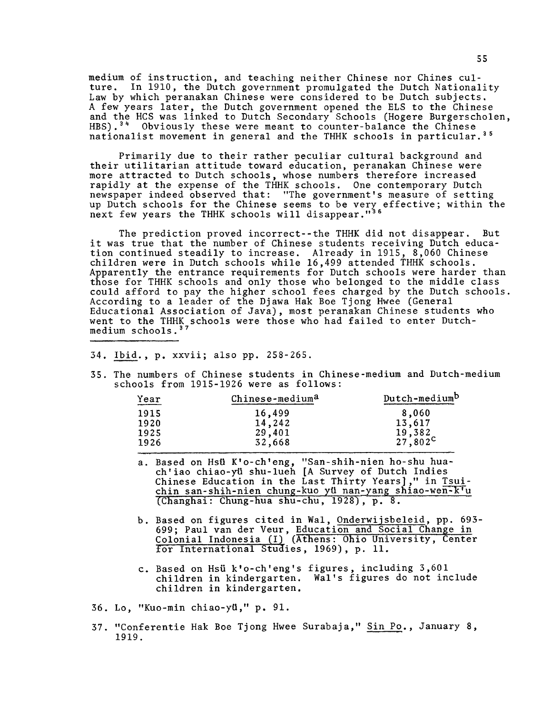medium of instruction, and teaching neither Chinese nor Chines culture. In 1910, the Dutch government promulgated the Dutch Nationality-Law by which peranakan Chinese were considered to be Dutch subjects, A few years later, the Dutch government opened the ELS to the Chinese and the HCS was linked to Dutch Secondary Schools (Hogere Burgerscholen, HBS).<sup>34</sup> Obviously these were meant to counter-balance the Chinese nationalist movement in general and the THHK schools in particular.<sup>35</sup>

Primarily due to their rather peculiar cultural background and their utilitarian attitude toward education, peranakan Chinese were more attracted to Dutch schools, whose numbers therefore increased rapidly at the expense of the THHK schools. One contemporary Dutch newspaper indeed observed that: "The government's measure of setting up Dutch schools for the Chinese seems to be very effective; within the next few years the THHK schools will disappear."36

The prediction proved incorrect--the THHK did not disappear. But it was true that the number of Chinese students receiving Dutch education continued steadily to increase. Already in 1915, 8,060 Chinese children were in Dutch schools while 16,499 attended THHK schools. Apparently the entrance requirements for Dutch schools were harder than those for THHK schools and only those who belonged to the middle class could afford to pay the higher school fees charged by the Dutch schools According to a leader of the Djawa Hak Boe Tjong Hwee (General Educational Association of Java), most peranakan Chinese students who went to the THHK schools were those who had failed to enter Dutchmedium schools.<sup>3</sup>

- 34. Ibid., p. xxvii; also pp. 258-265.
- 35. The numbers of Chinese students in Chinese-medium and Dutch-medium schools from 1915-1926 were as follows:

| Chinese-medium <sup>a</sup> | Dutch-medium <sup>D</sup> |
|-----------------------------|---------------------------|
| 16,499                      | 8,060                     |
| 14,242                      | 13,617                    |
|                             | 19,382                    |
| 32,668                      | $27,802^{\circ}$          |
|                             | 29,401                    |

- a. Based on Hsii K'o-ch'eng, "San-shih-nien ho-shu huach'iao chiao-yii shu-lueh [A Survey of Dutch Indies Chinese Education in the Last Thirty Years]," in Tsuichin san-shih-nien chung-kuo yü nan-yang shiao-wen-k'u (Changhai: Chung-hua shu-chu, 1928) , p. 8.
- b. Based on figures cited in Wal, Onderwijsbeleid, pp. 693- 699; Paul van der Veur, Education and Social Change in Colonial Indonesia (I) (Athens: Ohio University, Center for International Studies, 1969), p. 11.
- c. Based on Hsii k'o-ch'eng's figures, including 3,601 children in kindergarten. Wal's figures do not include children in kindergarten.
- 36. Lo, "Kuo-min chiao-yii," p. 91.
- 37. "Conferentie Hak Boe Tjong Hwee Surabaja," Sin Po., January 8, 1919.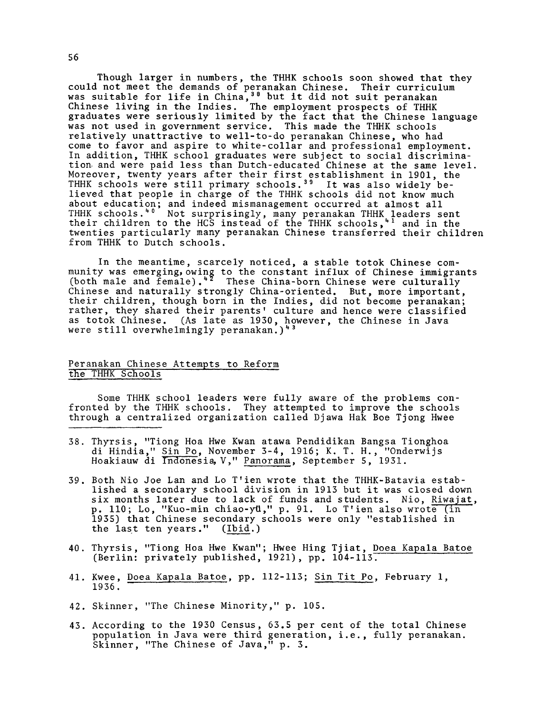Though larger in numbers, the THHK schools soon showed that they could not meet the demands of peranakan Chinese. Their curriculum was suitable for life in China,<sup>38</sup> but it did not suit peranakan Chinese living in the Indies. The employment prospects of THHK graduates were seriously limited by the fact that the Chinese language was not used in government service. This made the THHK schools relatively unattractive to well-to-do peranakan Chinese, who had come to favor and aspire to white-collar and professional employment. In addition, THHK school graduates were subject to social discrimination- and were paid less than Dutch-educated Chinese at the same level. Moreover, twenty years after their first establishment in 1901, the THHK schools were still primary schools.<sup>39</sup> It was also widely believed that people in charge of the THHK schools did not know much about education; and indeed mismanagement occurred at almost all THHK schools.90 Not surprisingly, many peranakan THHK leaders sent their children to the HCS instead of the THHK schools,<sup>41</sup> and in the twenties particularly many peranakan Chinese transferred their children from THHK to Dutch schools.

In the meantime, scarcely noticed, a stable totok Chinese community was emerging,owing to the constant influx of Chinese immigrants (both male and female).<sup>42</sup> These China-born Chinese were culturally Chinese and naturally strongly China-oriented. But, more important, their children, though born in the Indies, did not become peranakan; rather, they shared their parents' culture and hence were classified as totok Chinese. (As late as 1930, however, the Chinese in Java were still overwhelmingly peranakan.)<sup>43</sup>

# Peranakan Chinese Attempts to Reform the THHK Schools

Some THHK school leaders were fully aware of the problems confronted by the THHK schools. They attempted to improve the schools through a centralized organization called Djawa Hak Boe Tjong Hwee

- 38. Thyrsis, "Tiong Hoa Hwe Kwan atawa Pendidikan Bangsa Tionghoa di Hindia," Sin Po, November 3-4, 1916; K. T. H., "Onderwijs Hoakiauw di Indonesia, V," Panorama, September 5, 1931.
- 39. Both Nio Joe Lan and Lo T'ien wrote that the THHK-Batavia established a secondary school division in 1913 but it was closed down six months later due to lack of funds and students. Nio, Riwajat, p. 110; Lo, "Kuo-min chiao-yti," p. 91. Lo T'ien also wrote (in 1935) that Chinese secondary schools were only "established in the last ten years." (Ibid.)
- 40. Thyrsis, "Tiong Hoa Hwe Kwan"; Hwee Hing Tjiat, Doea Kapala Batoe (Berlin: privately published, 1921), pp. 104-113.
- 41. Kwee, Doea Kapala Batoe, pp. 112-113; Sin Tit Po, February 1, 1936.
- 42. Skinner, "The Chinese Minority," p. 105.
- 43. According to the 1930 Census, 63.5 per cent of the total Chinese population in Java were third generation, i.e., fully peranakan. Skinner, "The Chinese of Java," p. 3.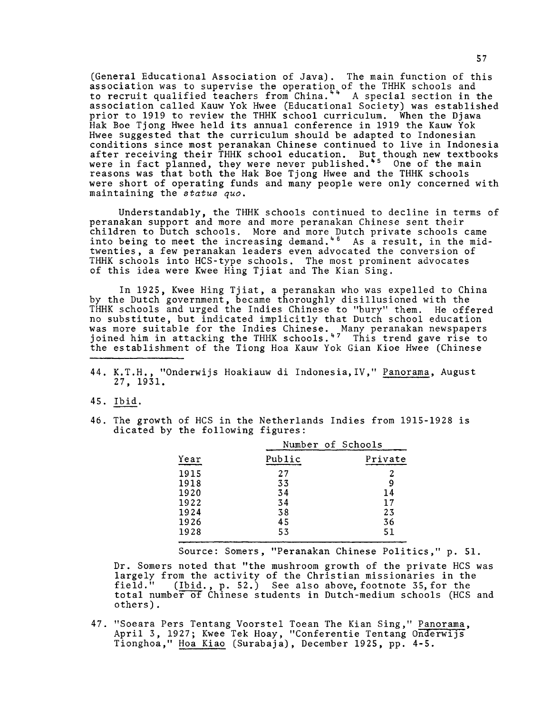(General Educational Association of Java). The main function of this association was to supervise the operation of the THHK schools and to recruit qualified teachers from China."" A special section in the association called Kauw Yok Hwee (Educational Society) was established prior to 1919 to review the THHK school curriculum. When the Djawa Hak Boe Tjong Hwee held its annual conference in 1919 the Kauw Yok Hwee suggested that the curriculum should be adapted to Indonesian conditions since most peranakan Chinese continued to live in Indonesia after receiving their THHK school education. But though new textbooks  $\,$ were in fact planned, they were never published.\*5 One of the main reasons was that both the Hak Boe Tjong Hwee and the THHK schools were short of operating funds and many people were only concerned with maintaining the *status quo.*

Understandably, the THHK schools continued to decline in terms of peranakan support and more and more peranakan Chinese sent their children to Dutch schools. More and more Dutch private schools came into being to meet the increasing demand. $^\ast$   $^6$  As a result, in the midtwenties, a few peranakan leaders even advocated the conversion of THHK schools into HCS-type schools. The most prominent advocates of this idea were Kwee Hing Tjiat and The Kian Sing.

In 1925, Kwee Hing Tjiat, a peranakan who was expelled to China by the Dutch government, became thoroughly disillusioned with the THHK schools and urged the Indies Chinese to "bury" them. He offered no substitute, but indicated implicitly that Dutch school education was more suitable for the Indies Chinese. \_Many peranakan newspapers joined him in attacking the THHK schools.1\*7 This trend gave rise to the establishment of the Tiong Hoa Kauw Yok Gian Kioe Hwee (Chinese

- 44. K.T.H., "Onderwijs Hoakiauw di Indonesia,IV," Panorama, August 27, 1931.
- 45. Ibid.
- 46. The growth of HCS in the Netherlands Indies from 1915-1928 is dicated by the following figures:

|      | Number of Schools |         |
|------|-------------------|---------|
| Year | Public            | Private |
| 1915 | 27                | 2       |
| 1918 | 33                | 9       |
| 1920 | 34                | 14      |
| 1922 | 34                | 17      |
| 1924 | 38                | 23      |
| 1926 | 45                | 36      |
| 1928 | 53                | 51      |
|      |                   |         |

Source: Somers, "Peranakan Chinese Politics," p. 51.

Dr. Somers noted that "the mushroom growth of the private HCS was largely from the activity of the Christian missionaries in the field." (Ibid., p. 52.) See also above, footnote 35, for the total number of Chinese students in Dutch-medium schools (HCS and others).

47. "Soeara Pers Tentang Voorstel Toean The Kian Sing," Panorama, April 3, 1927; Kwee Tek Hoay, "Conferentie Tentang Onderwijs Tionghoa," Hoa Kiao (Surabaja), December 1925, pp. 4-5.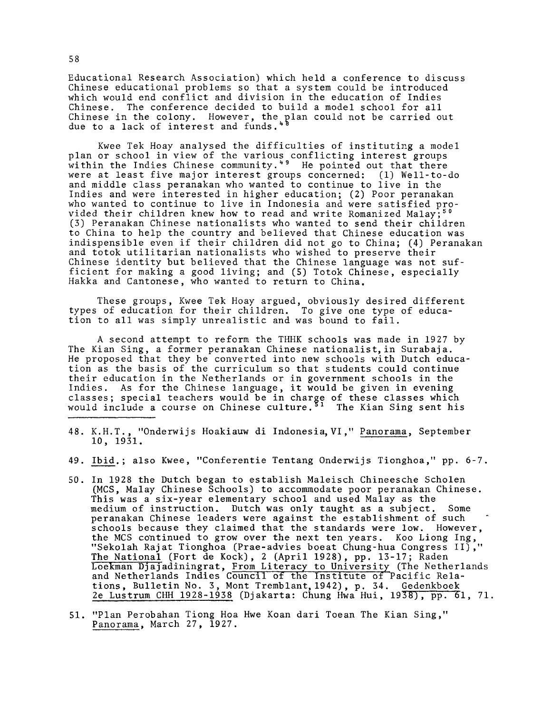Educational Research Association) which held a conference to discuss Chinese educational problems so that a system could be introduced which would end conflict and division in the education of Indies Chinese. The conference decided to build a model school for all Chinese in the colony. However, the plan could not be carried out due to a lack of interest and funds.<sup>\*</sup>'

Kwee Tek Hoay analysed the difficulties of instituting a model plan or school in view of the various conflicting interest groups within the Indies Chinese community.1\*9 He pointed out that there were at least five major interest groups concerned: (1) Well-to-do and middle class peranakan who wanted to continue to live in the Indies and were interested in higher education; (2) Poor peranakan who wanted to continue to live in Indonesia and were satisfied provided their children knew how to read and write Romanized Malay;<sup>50</sup> (3) Peranakan Chinese nationalists who wanted to send their children to China to help the country and believed that Chinese education was indispensible even if their children did not go to China; (4) Peranakan and totok utilitarian nationalists who wished to preserve their Chinese identity but believed that the Chinese language was not sufficient for making a good living; and (5) Totok Chinese, especially Hakka and Cantonese, who wanted to return to China.

These groups, Kwee Tek Hoay argued, obviously desired different types of education for their children. To give one type of education to all was simply unrealistic and was bound to fail.

A second attempt to reform the THHK schools was made in 1927 by The Kian Sing, a former peranakan Chinese nationalist, in Surabaja. He proposed that they be converted into new schools with Dutch education as the basis of the curriculum so that students could continue their education in the Netherlands or in government schools in the Indies. As for the Chinese language, it would be given in evening classes; special teachers would be in charge of these classes which would include a course on Chinese culture.'<sup>1</sup> The Kian Sing sent his

- 48. K.H.T., "Onderwijs Hoakiauw di Indonesia, VI," Panorama, September 10, 1931.
- 49. Ibid.; also Kwee, "Conferentie Tentang Onderwijs Tionghoa," pp. 6-7.
- 50. In 1928 the Dutch began to establish Maleisch Chineesche Scholen (MCS, Malay Chinese Schools) to accommodate poor peranakan Chinese. This was a six-year elementary school and used Malay as the medium of instruction. Dutch was only taught as a subject. Some peranakan Chinese leaders were against the establishment of such schools because they claimed that the standards were low. However, the MCS continued to grow over the next ten years. Koo Liong Ing, "Sekolah Rajat Tionghoa (Prae-advies boeat Chung-hua Congress II)," The National (Fort de Kock), 2 (April 1928), pp. 13-17; Raden Loekman Djajadiningrat, From Literacy to University (The Netherlands and Netherlands Indies Council of the Institute of Pacific Relations, Bulletin No. 3, Mont Tremblant,1942), p. 34. Gedenkboek 2e Lustrum CHH 1928-1938 (Djakarta: Chung Hwa Hui, 1938), pp. 61, 71.

<sup>51. &</sup>quot;Plan Perobahan Tiong Hoa Hwe Koan dari Toean The Kian Sing," Panorama, March 27, 1927.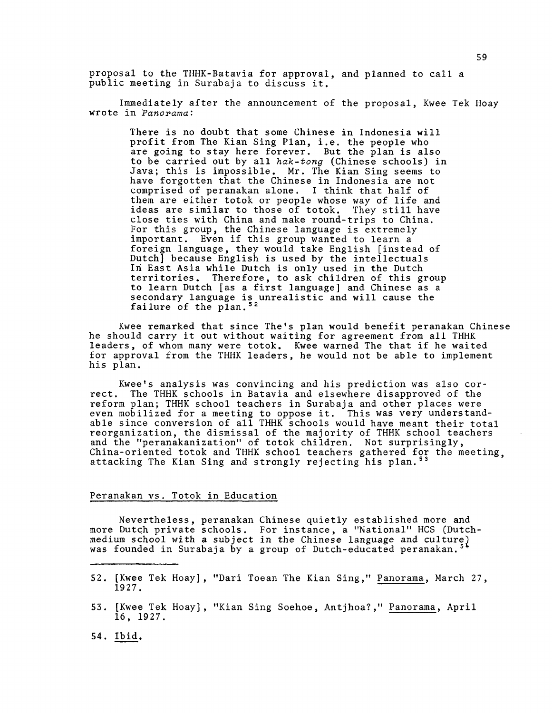proposal to the THHK-Batavia for approval, and planned to call a public meeting in Surabaja to discuss it.

Immediately after the announcement of the proposal, Kwee Tek Hoay wrote in *Panorama:*

There is no doubt that some Chinese in Indonesia will profit from The Kian Sing Plan, i.e. the people who are going to stay here forever. But the plan is also to be carried out by all *hak-tong* (Chinese schools) in Java; this is impossible. Mr. The Kian Sing seems to have forgotten that the Chinese in Indonesia are not comprised of peranakan alone. I think that half of them are either totok or people whose way of life and ideas are similar to those of totok. They still have close ties with China and make round-trips to China. For this group, the Chinese language is extremely important. Even if this group wanted to learn a foreign language, they would take English [instead of Dutch] because English is used by the intellectuals In East Asia while Dutch is only used in the Dutch territories. Therefore, to ask children of this group to learn Dutch [as a first language] and Chinese as a secondary language is unrealistic and will cause the failure of the plan.<sup>52</sup>

Kwee remarked that since The's plan would benefit peranakan Chinese he should carry it out without waiting for agreement from all THHK leaders, of whom many were totok. Kwee warned The that if he waited for approval from the THHK leaders, he would not be able to implement his plan.

Kwee's analysis was convincing and his prediction was also correct. The THHK schools in Batavia and elsewhere disapproved of the reform plan; THHK school teachers in Surabaja and other places were even mobilized for a meeting to oppose it. This was very understandable since conversion of all THHK schools would have meant their total reorganization, the dismissal of the majority of THHK school teachers and the "peranakanization" of totok children. Not surprisingly, China-oriented totok and THHK school teachers gathered for the meeting, attacking The Kian Sing and strongly rejecting his plan.<sup>53</sup>

## Peranakan vs. Totok in Education

Nevertheless, peranakan Chinese quietly established more and more Dutch private schools. For instance, a "National" HCS (Dutchmedium school with a subject in the Chinese language and culture) was founded in Surabaja by a group of Dutch-educated peranakan.5\*

- 52. [Kwee Tek Hoay], "Dari Toean The Kian Sing," Panorama, March 27, 1927.
- 53. [Kwee Tek Hoay], "Kian Sing Soehoe, Antjhoa?," Panorama, April 16, 1927.
- 54. Ibid.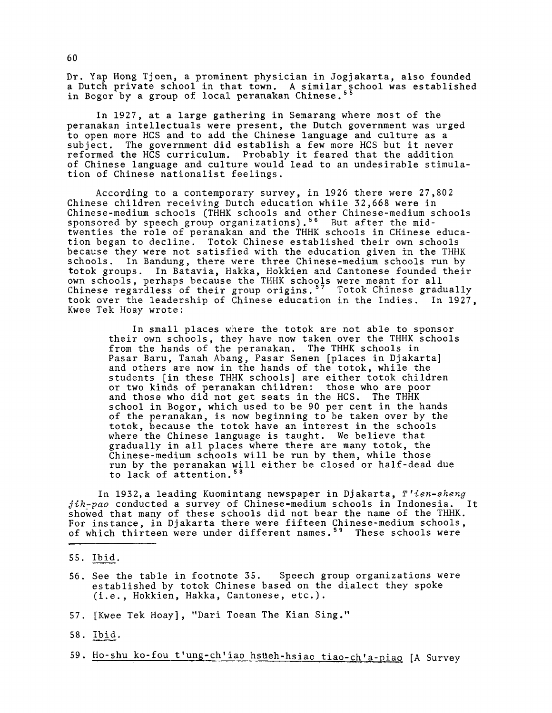Dr. Yap Hong Tjoen, a prominent physician in Jogjakarta, also founded a Dutch private school in that town. A similar school was established in Bogor by a group of local peranakan Chinese.""

In 1927, at a large gathering in Semarang where most of the peranakan intellectuals were present, the Dutch government was urged to open more HCS and to add the Chinese language and culture as a subject. The government did establish a few more HCS but it never reformed the HCS curriculum. Probably it feared that the addition of Chinese language and culture would lead to an undesirable stimulation of Chinese nationalist feelings.

According to a contemporary survey, in 1926 there were 27,802 Chinese children receiving Dutch education while 32,668 were in Chinese-medium schools (THHK schools and other Chinese-medium schools sponsored by speech group organizations). $^{56}$  But after the midtwenties the role of peranakan and the THHK schools in CHinese education began to decline. Totok Chinese established their own schools because they were not satisfied with the education given in the THHK schools. In Bandung, there were three Chinese-medium schools run by totok groups. In Batavia, Hakka, Hokkien and Cantonese founded their own schools, perhaps because the THHK schools were meant for all Chinese regardless of their group origins.<sup>57</sup> Totok Chinese gradually took over the leadership of Chinese education in the Indies. In 1927, Kwee Tek Hoay wrote:

In small places where the totok are not able to sponsor their own schools, they have now taken over the THHK schools from the hands of the peranakan. The THHK schools in Pasar Baru, Tanah Abang, Pasar Senen [places in Djakarta] and others are now in the hands of the totok, while the students [in these THHK schools] are either totok children or two kinds of peranakan children: those who are poor and those who did not get seats in the HCS. The THHK school in Bogor, which used to be 90 per cent in the hands of the peranakan, is now beginning to be taken over by the totok, because the totok have an interest in the schools where the Chinese language is taught. We believe that gradually in all places where there are many totok, the Chinese-medium schools will be run by them, while those run by the peranakan will either be closed or half-dead due to lack of attention.58

In 1932,a leading Kuomintang newspaper in Djakarta, *T'ien-sheng jih-pao* conducted a survey of Chinese-medium schools in Indonesia. It showed that many of these schools did not bear the name of the THHK. For instance, in Djakarta there were fifteen Chinese-medium schools, of which thirteen were under different names.<sup>59</sup> These schools were

- 56. See the table in footnote 35. Speech group organizations were established by totok Chinese based on the dialect they spoke (i.e., Hokkien, Hakka, Cantonese, etc.).
- 57. [Kwee Tek Hoay], "Dari Toean The Kian Sing."
- 58. Ibid.
- 59. Ho-shu ko-fou t'ung-ch'iao hsueh-hsiao tiao-ch'a-piao [A Survey

<sup>55.</sup> Ibid.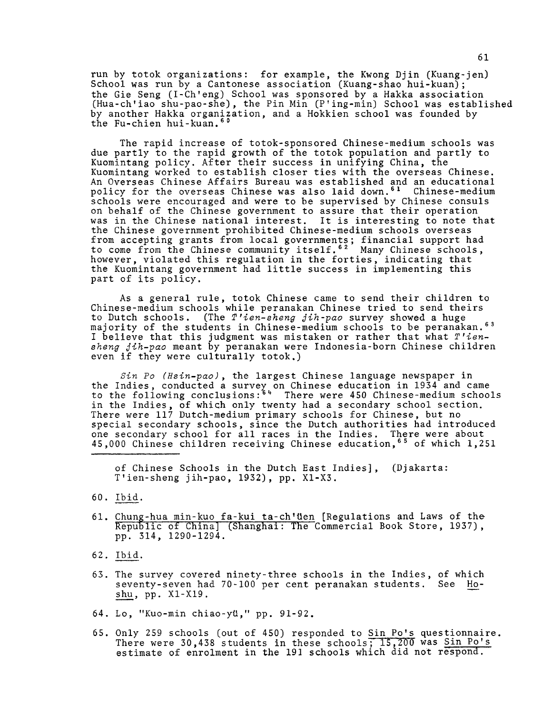run by totok organizations: for example, the Kwong Djin (Kuang-jen) School was run by a Cantonese association (Kuang-shao hui-kuan); the Gie Seng (I-Ch'eng) School was sponsored by a Hakka association (Hua-ch'iao shu-pao-she), the Pin Min (P'ing-min) School was established by another Hakka organization, and a Hokkien school was founded by the Fu-chien hui-kuan.<sup>60</sup>

The rapid increase of totok-sponsored Chinese-medium schools was due partly to the rapid growth of the totok population and partly to Kuomintang policy. After their success in unifying China, the Kuomintang worked to establish closer ties with the overseas Chinese. An Overseas Chinese Affairs Bureau was established and an educational policy for the overseas Chinese was also laid down.61 Chinese-medium schools were encouraged and were to be supervised by Chinese consuls on behalf of the Chinese government to assure that their operation was in the Chinese national interest. It is interesting to note that the Chinese government prohibited Chinese-medium schools overseas from accepting grants from local governments; financial support had to come from the Chinese community itself. $^{6\,2}$  -Many Chinese schools,  $^{}$ however, violated this regulation in the forties, indicating that the Kuomintang government had little success in implementing this part of its policy.

As a general rule, totok Chinese came to send their children to Chinese-medium schools while peranakan Chinese tried to send theirs to Dutch schools. (The *T 'ien-sheng gih-pao* survey showed a huge majority of the students in Chinese-medium schools to be peranakan.<sup>63</sup> I believe that this judgment was mistaken or rather that what *T 'iensheng gih-pao* meant by peranakan were Indonesia-born Chinese children even if they were culturally totok.)

*Sin Po (Hsin-pao*), the largest Chinese language newspaper in the Indies, conducted a survey on Chinese education in 1934 and came to the following conclusions:<sup>64</sup> There were 450 Chinese-medium schools in the Indies, of which only twenty had a secondary school section. There were 117 Dutch-medium primary schools for Chinese, but no special secondary schools, since the Dutch authorities had introduced one secondary school for all races in the Indies. There were about 45,000 Chinese children receiving Chinese education,65 of which 1,251

of Chinese Schools in the Dutch East Indies], (Djakarta: T'ien-sheng jih-pao, 1932), pp. X1-X3.

- 60. Ibid.
- 61. Chung-hua min-kuo fa-kui ta-ch'üen [Regulations and Laws of the-Republic of China] (Shanghai: The Commercial Book Store, 1937), pp. 314, 1290-1294.
- 62. Ibid.
- 63. The survey covered ninety-three schools in the Indies, of which seventy-seven had 70-100 per cent peranakan students. See Hoshu, pp. X1-X19.
- 64. Lo, "Kuo-min chiao-yd," pp. 91-92.
- 65. Only 259 schools (out of 450) responded to Sin Po's questionnaire. There were 30,438 students in these schools; 15,200 was <u>Sin Po's</u> estimate of enrolment in the 191 schools which did not respond.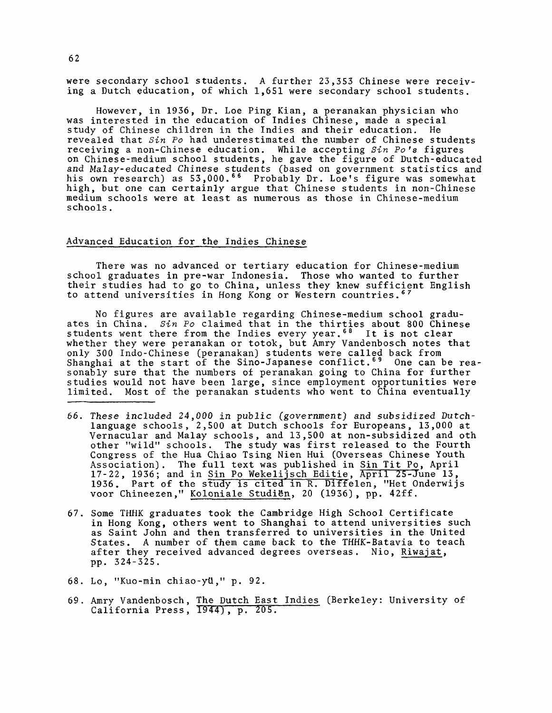were secondary school students. A further 23,353 Chinese were receiving a Dutch education, of which 1,651 were secondary school students.

However, in 1936, Dr. Loe Ping Kian, a peranakan physician who was interested in the education of Indies Chinese, made a special study of Chinese children in the Indies and their education. He revealed that *Sin Po* had underestimated the number of Chinese students receiving a non-Chinese education. While accepting *Sin Po's* figures on Chinese-medium school students, he gave the figure of Dutch-educated and Malay-educated Chinese students (based on government statistics and his own research) as 53,000.<sup>66</sup> Probably Dr. Loe's figure was somewhat high, but one can certainly argue that Chinese students in non-Chinese medium schools were at least as numerous as those in Chinese-medium schools.

# Advanced Education for the Indies Chinese

There was no advanced or tertiary education for Chinese-medium school graduates in pre-war Indonesia. Those who wanted to further their studies had to go to China, unless they knew sufficient English to attend universities in Hong Kong or Western countries.<sup>6</sup>

No figures are available regarding Chinese-medium school graduates in China. *Sin Po* claimed that in the thirties about 800 Chinese students went there from the Indies every year.<sup>68</sup> It is not clear whether they were peranakan or totok, but Amry Vandenbosch notes that only 300 Indo-Chinese (peranakan) students were called back from Shanghai at the start of the Sino-Japanese conflict.<sup>69</sup> One can be reasonably sure that the numbers of peranakan going to China for further studies would not have been large, since employment opportunities were limited. Most of the peranakan students who went to China eventually

- 66. These included 24,000 in public (*government*) and subsidized Dutchlanguage schools, 2,500 at Dutch schools for Europeans, 13,000 at Vernacular and Malay schools, and 13,500 at non-subsidized and oth other "wild" schools. The study was first released to the Fourth Congress of the Hua Chiao Tsing Nien Hui (Overseas Chinese Youth Association). The full text was published in Sin Tit Po, April  $17-22$ ,  $1936$ ; and in Sin Po Wekelijsch Editie, April 25-June 13, 1936. Part of the study is cited in R. Diffelen, "Het Onderwijs voor Chineezen," Koloniale Studien, 20 (1936), pp. 42ff.
- 67. Some THHK graduates took the Cambridge High School Certificate in Hong Kong, others went to Shanghai to attend universities such as Saint John and then transferred to universities in the United States. A number of them came back to the THHK-Batavia to teach after they received advanced degrees overseas. Nio, Riwajat, pp. 324-325.
- 68. Lo, "Kuo-min chiao-ytl," p. 92.
- 69. Amry Vandenbosch, The Dutch East Indies (Berkeley: University of California Press, 1944) , p. 205.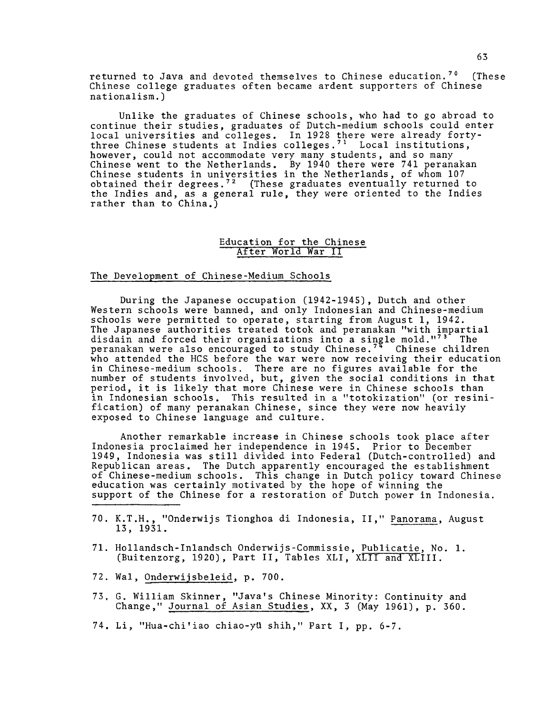returned to Java and devoted themselves to Chinese education.<sup>70</sup> (These Chinese college graduates often became ardent supporters of Chinese nationalism.)

Unlike the graduates of Chinese schools, who had to go abroad to continue their studies, graduates of Dutch-medium schools could enter local universities and colleges. In 1928 there were already fortythree Chinese students at Indies colleges.<sup>71</sup> Local institutions. however, could not accommodate very many students, and so many Chinese went to the Netherlands. By 1940 there were 741 peranakan Chinese students in universities in the Netherlands, of whom 107 obtained their degrees. $^{72}$  (These graduates eventually returned to the Indies and, as a general rule, they were oriented to the Indies rather than to China.)

## Education for the Chinese After World War II

#### The Development of Chinese-Medium Schools

During the Japanese occupation (1942-1945), Dutch and other Western schools were banned, and only Indonesian and Chinese-medium schools were permitted to operate, starting from August 1, 1942. The Japanese authorities treated totok and peranakan "with impartial disdain and forced their organizations into a single mold."<sup>73</sup> The peranakan were also encouraged to study Chinese.<sup>74</sup> Chinese children who attended the HCS before the war were now receiving their education in Chinese-medium schools. There are no figures available for the number of students involved, but, given the social conditions in that period, it is likely that more Chinese were in Chinese schools than in Indonesian schools. This resulted in a "totokization" (or resinification) of many peranakan Chinese, since they were now heavily exposed to Chinese language and culture.

Another remarkable increase in Chinese schools took place after Indonesia proclaimed her independence in 1945. Prior to December 1949, Indonesia was still divided into Federal (Dutch-controlled) and Republican areas. The Dutch apparently encouraged the establishment of Chinese-medium schools. This change in Dutch policy toward Chinese education was certainly motivated by the hope of winning the support of the Chinese for a restoration of Dutch power in Indonesia.

- 70. K.T.H., "Onderwijs Tionghoa di Indonesia, II," Panorama, August 13, 1931.
- 71. Hollandsch-Inlandsch Onderwijs-Commissie, Publicatie, No. 1. (Buitenzorg, 1920), Part II, Tables XLI, XLII and XLIII.
- 72. Wal, Onderwijsbeleid, p. 700.
- 73. G. William Skinner, "Java's Chinese Minority: Continuity and Change," Journal of Asian Studies, XX, 3 (May 1961), p. 360.
- 74. Li, "Hua-chi'iao chiao-ytl shih," Part I, pp. 6-7.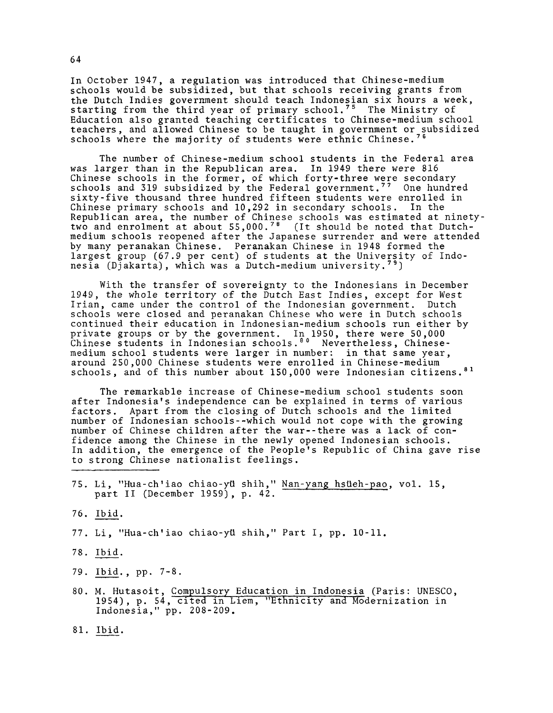In October 1947, a regulation was introduced that Chinese-medium schools would be subsidized, but that schools receiving grants from the Dutch Indies government should teach Indonesian six hours a week, starting from the third year of primary school. $75\,$  The Ministry of Education also granted teaching certificates to Chinese-medium school teachers, and allowed Chinese to be taught in government or subsidized schools where the majority of students were ethnic Chinese.<sup>7</sup>

The number of Chinese-medium school students in the Federal area was larger than in the Republican area. In 1949 there were 816 Chinese schools in the former, of which forty-three were secondary schools and 319 subsidized by the Federal government.<sup>77</sup> One hundred sixty-five thousand three hundred fifteen students were enrolled in Chinese primary schools and 10,292 in secondary schools. In the Republican area, the number of Chinese schools was estimated at ninetytwo and enrolment at about  $55,000.^{\text{78}}$  (It should be noted that Dutchmedium schools reopened after the Japanese surrender and were attended by many peranakan Chinese. Peranakan Chinese in 1948 formed the largest group (67.9 per cent) of students at the University of Indonesia (Djakarta), which was a Dutch-medium university.79)

With the transfer of sovereignty to the Indonesians in December 1949, the whole territory of the Dutch East Indies, except for West Irian, came under the control of the Indonesian government. Dutch schools were closed and peranakan Chinese who were in Dutch schools continued their education in Indonesian-medium schools run either by private groups or by the government. In 1950, there were 50,000 Chinese students in Indonesian schools.<sup>80</sup> Nevertheless, Chinesemedium school students were larger in number: in that same year, around 250,000 Chinese students were enrolled in Chinese-medium schools, and of this number about 150,000 were Indonesian citizens.<sup>81</sup>

The remarkable increase of Chinese-medium school students soon after Indonesia's independence can be explained in terms of various factors. Apart from the closing of Dutch schools and the limited number of Indonesian schools--which would not cope with the growing number of Chinese children after the war--there was a lack of confidence among the Chinese in the newly opened Indonesian schools. In addition, the emergence of the People's Republic of China gave rise to strong Chinese nationalist feelings.

- 75. Li, "Hua-ch'iao chiao-yti shih," Nan-yang hstleh-pao, vol. 15, part II (December 1959), p. 42.
- 76. Ibid.
- 77. Li, "Hua-ch'iao chiao-yti shih," Part I, pp. 10-11.
- 78. Ibid.
- 79. Ibid., pp. 7-8.
- 80. M. Hutasoit, Compulsory Education in Indonesia (Paris: UNESCO, 1954), p. 54, cited in Liem, "Ethnicity and Modernization in Indonesia," pp. 208-209.
- 81. Ibid.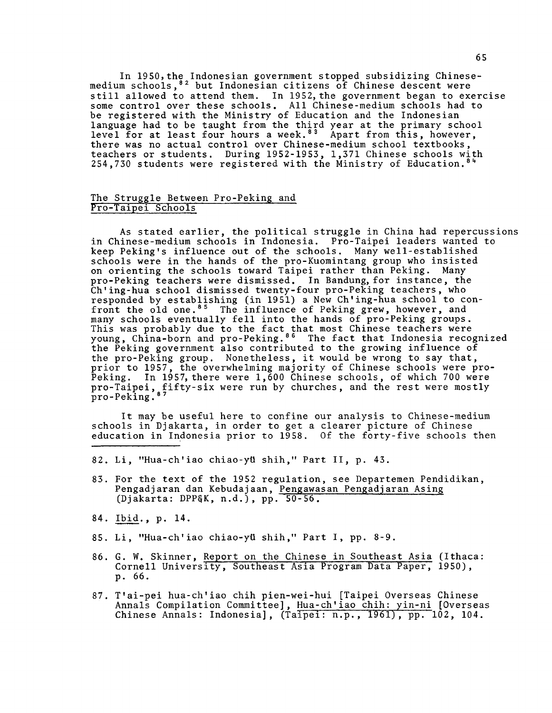In 1950,the Indonesian government stopped subsidizing Chinesemedium schools,<sup>82</sup> but Indonesian citizens of Chinese descent were still allowed to attend them. In 1952, the government began to exercise some control over these schools. All Chinese-medium schools had to be registered with the Ministry of Education and the Indonesian language had to be taught from the third year at the primary school level for at least four hours a week.<sup>83</sup> Apart from this, however, there was no actual control over Chinese-medium school textbooks, teachers or students. During 1952-1953, 1,371 Chinese schools with 254,730 students were registered with the Ministry of Education.<sup>84</sup>

## The Struggle Between Pro-Peking and Pro-Taipei Schools

As stated earlier, the political struggle in China had repercussions in Chinese-medium schools in Indonesia. Pro-Taipei leaders wanted to keep Peking's influence out of the schools. Many well-established schools were in the hands of the pro-Kuomintang group who insisted on orienting the schools toward Taipei rather than Peking. Many pro-Peking teachers were dismissed. In Bandung, for instance, the Ch'ing-hua school dismissed twenty-four pro-Peking teachers, who responded by establishing (in 1951) a New Ch'ing-hua school to confront the old one.<sup>85</sup> The influence of Peking grew, however, and many schools eventually fell into the hands of pro-Peking groups. This was probably due to the fact that most Chinese teachers were young, China-born and pro-Peking.<sup>86</sup> The fact that Indonesia recognized the Peking government also contributed to the growing influence of the pro-Peking group. Nonetheless, it would be wrong to say that, prior to 1957, the overwhelming majority of Chinese schools were pro-Peking. In 1957, there were  $1,600$  Chinese schools, of which 700 were pro-Taipei, fifty-six were run by churches, and the rest were mostly pro-Peking.<sup>87</sup>

It may be useful here to confine our analysis to Chinese-medium schools in Djakarta, in order to get a clearer picture of Chinese education in Indonesia prior to 1958. Of the forty-five schools then

- 82. Li, "Hua-ch'iao chiao-ytl shih," Part II, p. 43.
- 83. For the text of the 1952 regulation, see Departemen Pendidikan, Pengadjaran dan Kebudajaan, Pengawasan Pengadjaran Asing (Djakarta: DPP§K, n.d.), pp. 50-56.
- 84. Ibid., p. 14.
- 85. Li, "Hua-ch'iao chiao-yh shih," Part I, pp. 8-9.
- 86. G. W. Skinner, Report on the Chinese in Southeast Asia (Ithaca: Cornell University, Southeast Asia Program Data Paper, 1950), p . 66.
- 87. T'ai-pei hua-ch'iao chih pien-wei-hui [Taipei Overseas Chinese Annals Compilation Committee], Hua-ch'iao chih: yin-ni [Overseas Chinese Annals: Indonesia], (Taipei: n.p., 1961), pp. 102, 104.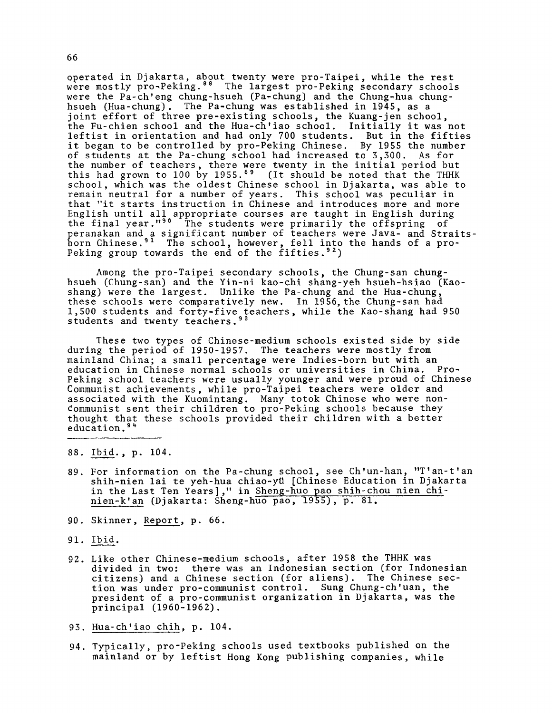operated in Djakarta, about twenty were pro-Taipei, while the rest were mostly pro-Peking.<sup>88</sup> The largest pro-Peking secondary schools were the Pa-ch'eng chung-hsueh (Pa-chung) and the Chung-hua chunghsueh (Hua-chung). The Pa-chung was established in 1945, as a joint effort of three pre-existing schools, the Kuang-jen school, the Fu-chien school and the Hua-ch'iao school. Initially it was not leftist in orientation and had only 700 students. But in the fifties it began to be controlled by pro-Peking Chinese. By 1955 the number of students at the Pa-chung school had increased to 3,300. As for the number of teachers, there were twenty in the initial period but this had grown to 100 by 1955.<sup>89</sup> (It should be noted that the THHK school, which was the oldest Chinese school in Djakarta, was able to remain neutral for a number of years. This school was peculiar in that "it starts instruction in Chinese and introduces more and more English until all appropriate courses are taught in English during the final year."<sup>90</sup> The students were primarily the offspring of peranakan and a significant number of teachers were Java- and Straitsborn Chinese.<sup>91</sup> The school, however, fell into the hands of a pro-Peking group towards the end of the fifties.<sup>92</sup>)

Among the pro-Taipei secondary schools, the Chung-san chunghsueh (Chung-san) and the Yin-ni kao-chi shang-yeh hsueh-hsiao (Kaoshang) were the largest. Unlike the Pa-chung and the Hua-chung, these schools were comparatively new. In 1956, the Chung-san had 1,500 students and forty-five teachers, while the Kao-shang had 950 students and twenty teachers.<sup>93</sup>

These two types of Chinese-medium schools existed side by side during the period of 1950-1957. The teachers were mostly from mainland China; a small percentage were Indies-born but with an education in Chinese normal schools or universities in China. Pro-Peking school teachers were usually younger and were proud of Chinese Communist achievements, while pro-Taipei teachers were older and associated with the Kuomintang. Many totok Chinese who were nondommunist sent their children to pro-Peking schools because they thought that these schools provided their children with a better education.<sup>94</sup>

- 88. Ibid., p. 104.
- 89. For information on the Pa-chung school, see Ch'un-han, "T'an-t'an shih-nien lai te yeh-hua chiao-yü [Chinese Education in Djakarta in the Last Ten Years]," in Sheng-huo pao shih-chou nien chinien-k'an (Djakarta: Sheng-huo pao, 1955), p. 81.
- 90. Skinner, Report, p. 66.
- 91. Ibid.
- 92. Like other Chinese-medium schools, after 1958 the THHK was divided in two: there was an Indonesian section (for Indonesian citizens) and a Chinese section (for aliens). The Chinese section was under pro-communist control. Sung Chung-ch'uan, the president of a pro-communist organization in Djakarta, was the principal (1960-1962).
- 93. Hua-ch'iao chih, p. 104.
- 94. Typically, pro-Peking schools used textbooks published on the mainland or by leftist Hong Kong publishing companies, while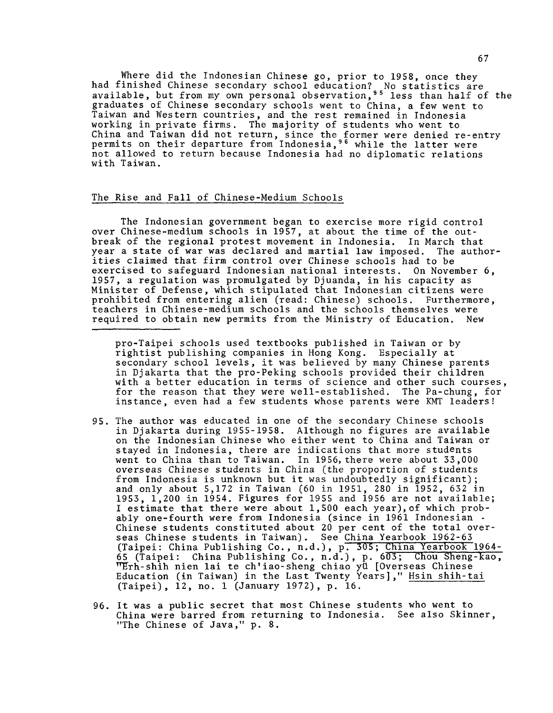Where did the Indonesian Chinese go, prior to 1958, once they had finished Chinese secondary school education? No statistics are available, but from my own personal observation,<sup>95</sup> less than half of the graduates of Chinese secondary schools went to China, a few went to Taiwan and Western countries, and the rest remained in Indonesia working in private firms. The majority of students who went to China and Taiwan did not return, since the former were denied re-entry permits on their departure from Indonesia,<sup>96</sup> while the latter were not allowed to return because Indonesia had no diplomatic relations with Taiwan.

## The Rise and Fall of Chinese-Medium Schools

The Indonesian government began to exercise more rigid control over Chinese-medium schools in 1957, at about the time of the outbreak of the regional protest movement in Indonesia. In March that year a state of war was declared and martial law imposed. The authorities claimed that firm control over Chinese schools had to be exercised to safeguard Indonesian national interests. On November 6, 1957, a regulation was promulgated by Djuanda, in his capacity as Minister of Defense, which stipulated that Indonesian citizens were prohibited from entering alien (read: Chinese) schools. Furthermore, teachers in Chinese-medium schools and the schools themselves were required to obtain new permits from the Ministry of Education. New

pro-Taipei schools used textbooks published in Taiwan or by rightist publishing companies in Hong Kong. Especially at secondary school levels, it was believed by many Chinese parents in Djakarta that the pro-Peking schools provided their children with a better education in terms of science and other such courses, for the reason that they were well-established. The Pa-chung, for instance, even had a few students whose parents were KMT leaders!

- 95. The author was educated in one of the secondary Chinese schools in Djakarta during 1955-1958. Although no figures are available on the Indonesian Chinese who either went to China and Taiwan or stayed in Indonesia, there are indications that more students went to China than to Taiwan. In 1956, there were about 33,000 overseas Chinese students in China (the proportion of students from Indonesia is unknown but it was undoubtedly significant); and only about 5,172 in Taiwan (60 in 1951, 280 in 1952, 632 in 1953, 1,200 in 1954. Figures for 1955 and 1956 are not available; I estimate that there were about 1,500 each year),of which probably one-fourth were from Indonesia (since in 1961 Indonesian - Chinese students constituted about 20 per cent of the total overseas Chinese students in Taiwan). See China Yearbook 1962-63 (Taipei: China Publishing Co., n.d.), p<del>. 305; China Yearbook 1964-</del> 65 (Taipei: China Publishing Co., n.d.), p. 603; Chou Sheng-kao,  $^{\sf mEr}$ h-shih nien lai te ch'iao-sheng chiao yü [Overseas Chinese Education (in Taiwan) in the Last Twenty Years]," <u>Hsin shih-tai</u> (Taipei), 12, no. 1 (January 1972), p. 16.
- 96. It was a public secret that most Chinese students who went to China were barred from returning to Indonesia. See also Skinner, "The Chinese of Java," p. 8.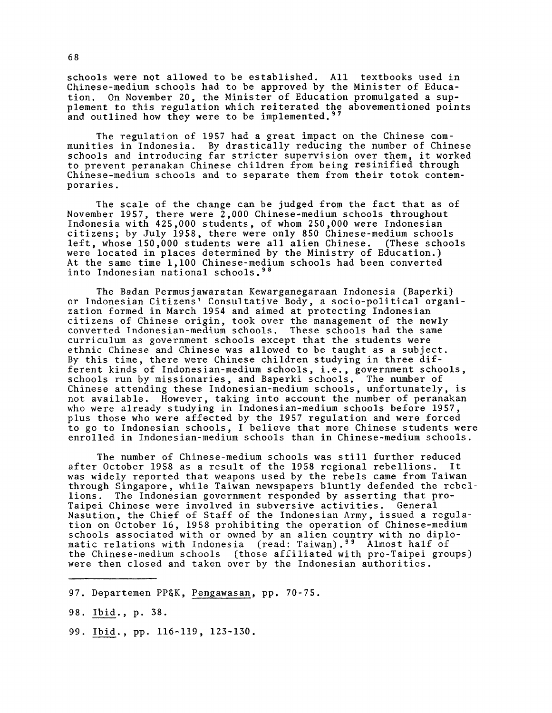schools were not allowed to be established. All textbooks used in Chinese-medium schools had to be approved by the Minister of Education. On November 20, the Minister of Education promulgated a supplement to this regulation which reiterated the abovementioned points and outlined how they were to be implemented.<sup>97</sup>

The regulation of 1957 had a great impact on the Chinese communities in Indonesia. By drastically reducing the number of Chinese schools and introducing far stricter supervision over them, it worked to prevent peranakan Chinese children from being resinified through Chinese-medium schools and to separate them from their totok contemporaries .

The scale of the change can be judged from the fact that as of November 1957, there were 2,000 Chinese-medium schools throughout Indonesia with 425,000 students, of whom 250,000 were Indonesian citizens; by July 1958, there were only 850 Chinese-medium schools left, whose 150,000 students were all alien Chinese. (These schools were located in places determined by the Ministry of Education.) At the same time 1,100 Chinese-medium schools had been converted into Indonesian national schools.98

The Badan Permusjawaratan Kewarganegaraan Indonesia (Baperki) or Indonesian Citizens' Consultative Body, a socio-political organization formed in March 1954 and aimed at protecting Indonesian citizens of Chinese origin, took over the management of the newly converted Indonesian-medium schools. These schools had the same curriculum as government schools except that the students were ethnic Chinese and Chinese was allowed to be taught as a subject. By this time, there were Chinese children studying in three different kinds of Indonesian-medium schools, i.e., government schools, schools run by missionaries, and Baperki schools. The number of Chinese attending these Indonesian-medium schools, unfortunately, is not available. However, taking into account the number of peranakan who were already studying in Indonesian-medium schools before 1957, plus those who were affected by the 1957 regulation and were forced to go to Indonesian schools, I believe that more Chinese students were enrolled in Indonesian-medium schools than in Chinese-medium schools.

The number of Chinese-medium schools was still further reduced after October 1958 as a result of the 1958 regional rebellions. It was widely reported that weapons used by the rebels came from Taiwan through Singapore, while Taiwan newspapers bluntly defended the rebellions. The Indonesian government responded by asserting that pro-Taipei Chinese were involved in subversive activities. General Nasution, the Chief of Staff of the Indonesian Army, issued a regulation on October 16, 1958 prohibiting the operation of Chinese-medium schools associated with or owned by an alien country with no diplomatic relations with Indonesia (read: Taiwan).<sup>99</sup> Almost half of the Chinese-medium schools (those affiliated with pro-Taipei groups) were then closed and taken over by the Indonesian authorities.

97. Departemen PP§K, Pengawasan, pp. 70-75.

98. Ibid., p. 38.

99. Ibid. , pp. 116-119 , 123-130 .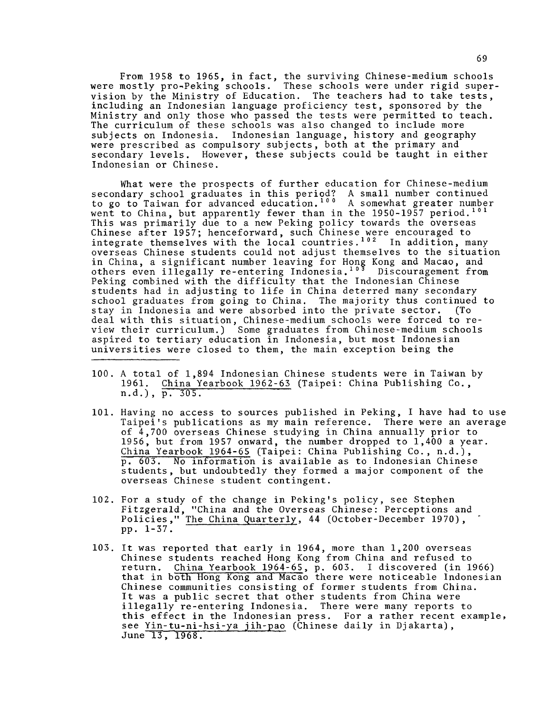From 1958 to 1965, in fact, the surviving Chinese-medium schools were mostly pro-Peking schools. These schools were under rigid supervision by the Ministry of Education. The teachers had to take tests, including an Indonesian language proficiency test, sponsored by the Ministry and only those who passed the tests were permitted to teach. The curriculum of these schools was also changed to include more subjects on Indonesia. Indonesian language, history and geography were prescribed as compulsory subjects, both at the primary and secondary levels. However, these subjects could be taught in either Indonesian or Chinese.

What were the prospects of further education for Chinese-medium secondary school graduates in this period? A small number continued to go to Taiwan for advanced education.<sup>100</sup> A somewhat greater number went to China, but apparently fewer than in the 1950-1957 period.<sup>101</sup> This was primarily due to a new Peking policy towards the overseas Chinese after 1957; henceforward, such Chinese were encouraged to integrate themselves with the local countries. $102$  In addition, many overseas Chinese students could not adjust themselves to the situation in China, a significant number leaving for Hong Kong and Macao, and others even illegally re-entering Indonesia.''' Discouragement from Peking combined with the difficulty that the Indonesian Chinese students had in adjusting to life in China deterred many secondary school graduates from going to China. The majority thus continued to<br>stay in Indonesia and were absorbed into the private sector. (To stay in Indonesia and were absorbed into the private sector. deal with this situation, Chinese-medium schools were forced to review their curriculum.) Some graduates from Chinese-medium schools aspired to tertiary education in Indonesia, but most Indonesian universities were closed to them, the main exception being the

- 100. A total of 1,894 Indonesian Chinese students were in Taiwan by 1961. China Yearbook 1962-65 (Taipei: China Publishing Co., n.d.), p. 305.
- 101. Having no access to sources published in Peking, I have had to use Taipei's publications as my main reference. There were an average of 4,700 overseas Chinese studying in China annually prior to 1956, but from 1957 onward, the number dropped to 1,400 a year. China Yearbook 1964-65 (Taipei: China Publishing Co., n.d.), p. 603. No information is available as to Indonesian Chinese students, but undoubtedly they formed a major component of the overseas Chinese student contingent.
- 102. For a study of the change in Peking's policy, see Stephen Fitzgerald, "China and the Overseas Chinese: Perceptions and Policies," The China Quarterly, 44 (October-December 1970), pp. 1-37.
- 103. It was reported that early in 1964, more than 1,200 overseas Chinese students reached Hong Kong from China and refused to return. China Yearbook 1964-65, p. 603. I discovered (in 1966) that in both Hong Kong and Macao there were noticeable Indonesian Chinese communities consisting of former students from China. It was a public secret that other students from China were illegally re-entering Indonesia. There were many reports to this effect in the Indonesian press. For a rather recent example, see Yin-tu-ni-hsi-ya jih-pao (Chinese daily in Djakarta), June 13, 1968.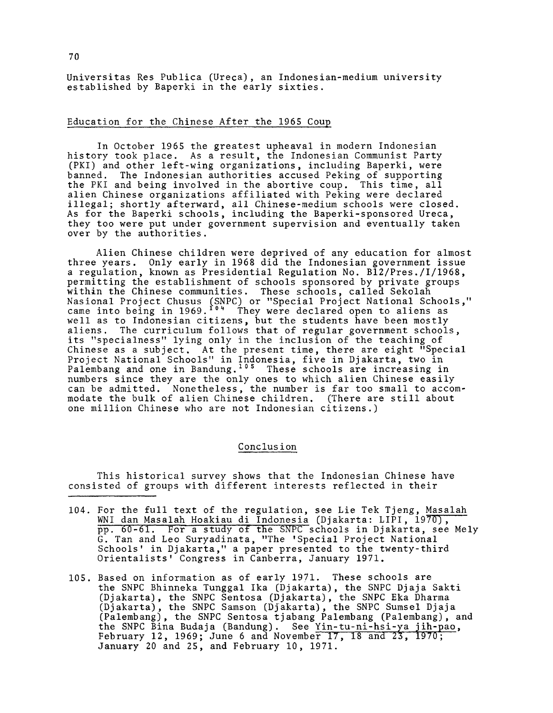Universitas Res Publica (Ureca), an Indonesian-medium university established by Baperki in the early sixties.

## Education for the Chinese After the 1965 Coup

In October 1965 the greatest upheaval in modern Indonesian history took place. As a result, the Indonesian Communist Party (PKI) and other left-wing organizations, including Baperki, were banned. The Indonesian authorities accused Peking of supporting the PKI and being involved in the abortive coup. This time, all alien Chinese organizations affiliated with Peking were declared illegal; shortly afterward, all Chinese-medium schools were closed. As for the Baperki schools, including the Baperki-sponsored Ureca, they too were put under government supervision and eventually taken over by the authorities.

Alien Chinese children were deprived of any education for almost three years. Only early in 1968 did the Indonesian government issue a regulation, known as Presidential Regulation No. B12/Pres./I/1968, permitting the establishment of schools sponsored by private groups within the Chinese communities. These schools, called Sekolah Nasional Project Chusus (SNPC) or "Special Project National Schools," came into being in 1969.<sup>104</sup> They were declared open to aliens as well as to Indonesian citizens, but the students have been mostly aliens. The curriculum follows that of regular government schools, its "specialness" lying only in the inclusion of the teaching of Chinese as a subject. At the present time, there are eight "Special Project National Schools" in Indonesia, five in Djakarta, two in Palembang and one in Bandung.<sup>105</sup> These schools are increasing in numbers since they are the only ones to which alien Chinese easily can be admitted. Nonetheless, the number is far too small to accommodate the bulk of alien Chinese children. (There are still about one million Chinese who are not Indonesian citizens.)

## Conclusion

This historical survey shows that the Indonesian Chinese have consisted of groups with different interests reflected in their

- 104. For the full text of the regulation, see Lie Tek Tjeng, Masaiah WNI dan Masalah Hoakiau di Indonesia (Djakarta: LIPI, 1970), pp . 60-61. For a study of the SNPC schools in Djakarta, see Mely G. Tan and Leo Suryadinata, "The 'Special Project National Schools' in Djakarta," a paper presented to the twenty-third Orientalists' Congress in Canberra, January 1971.
- 105. Based on information as of early 1971. These schools are the SNPC Bhinneka Tunggal Ika (Djakarta), the SNPC Djaja Sakti (Djakarta), the SNPC Sentosa (Djakarta), the SNPC Eka Dharma (Djakarta), the SNPC Samson (Djakarta), the SNPC Sumsel Djaja (Palembang), the SNPC Sentosa tjabang Palembang (Palembang), and the SNPC Bina Budaja (Bandung). See Yin-tu-ni-hsi-ya jih-pao, February 12, 1969; June 6 and November 17, 18 and *23,* 1970; January 20 and 25, and February 10, 1971.